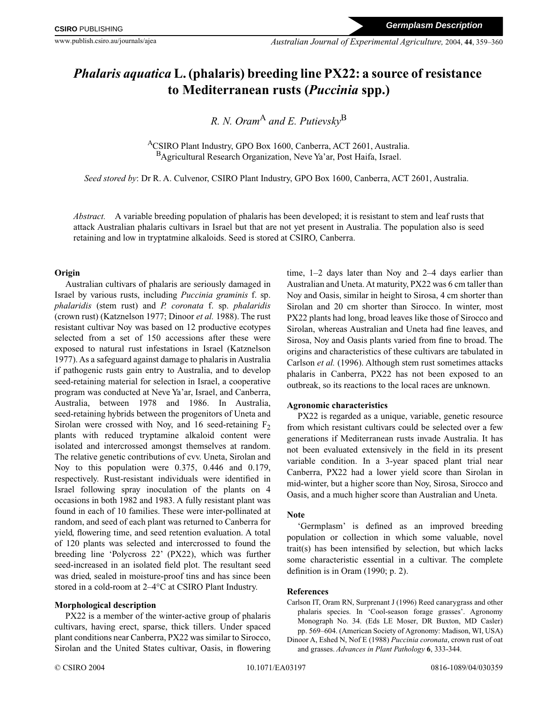# *Phalaris aquatica* **L. (phalaris) breeding line PX22: a source of resistance to Mediterranean rusts (***Puccinia* **spp.)**

## *R. N. Oram*<sup>A</sup> and *E. Putievskv*<sup>B</sup>

ACSIRO Plant Industry, GPO Box 1600, Canberra, ACT 2601, Australia. BAgricultural Research Organization, Neve Ya'ar, Post Haifa, Israel.

*Seed stored by*: Dr R. A. Culvenor, CSIRO Plant Industry, GPO Box 1600, Canberra, ACT 2601, Australia.

*Abstract.* A variable breeding population of phalaris has been developed; it is resistant to stem and leaf rusts that attack Australian phalaris cultivars in Israel but that are not yet present in Australia. The population also is seed retaining and low in tryptatmine alkaloids. Seed is stored at CSIRO, Canberra.

#### **Origin**

Australian cultivars of phalaris are seriously damaged in Israel by various rusts, including *Puccinia graminis* f. sp. *phalaridis* (stem rust) and *P. coronata* f. sp. *phalaridis* (crown rust) (Katznelson 1977; Dinoor *et al.* 1988). The rust resistant cultivar Noy was based on 12 productive ecotypes selected from a set of 150 accessions after these were exposed to natural rust infestations in Israel (Katznelson 1977). As a safeguard against damage to phalaris in Australia if pathogenic rusts gain entry to Australia, and to develop seed-retaining material for selection in Israel, a cooperative program was conducted at Neve Ya'ar, Israel, and Canberra, Australia, between 1978 and 1986. In Australia, seed-retaining hybrids between the progenitors of Uneta and Sirolan were crossed with Noy, and 16 seed-retaining  $F<sub>2</sub>$ plants with reduced tryptamine alkaloid content were isolated and intercrossed amongst themselves at random. The relative genetic contributions of cvv. Uneta, Sirolan and Noy to this population were 0.375, 0.446 and 0.179, respectively. Rust-resistant individuals were identified in Israel following spray inoculation of the plants on 4 occasions in both 1982 and 1983. A fully resistant plant was found in each of 10 families. These were inter-pollinated at random, and seed of each plant was returned to Canberra for yield, flowering time, and seed retention evaluation. A total of 120 plants was selected and intercrossed to found the breeding line 'Polycross 22' (PX22), which was further seed-increased in an isolated field plot. The resultant seed was dried, sealed in moisture-proof tins and has since been stored in a cold-room at 2–4°C at CSIRO Plant Industry.

### **Morphological description**

PX22 is a member of the winter-active group of phalaris cultivars, having erect, sparse, thick tillers. Under spaced plant conditions near Canberra, PX22 was similar to Sirocco, Sirolan and the United States cultivar, Oasis, in flowering time, 1–2 days later than Noy and 2–4 days earlier than Australian and Uneta. At maturity, PX22 was 6 cm taller than Noy and Oasis, similar in height to Sirosa, 4 cm shorter than Sirolan and 20 cm shorter than Sirocco. In winter, most PX22 plants had long, broad leaves like those of Sirocco and Sirolan, whereas Australian and Uneta had fine leaves, and Sirosa, Noy and Oasis plants varied from fine to broad. The origins and characteristics of these cultivars are tabulated in Carlson *et al.* (1996). Although stem rust sometimes attacks phalaris in Canberra, PX22 has not been exposed to an outbreak, so its reactions to the local races are unknown.

### **Agronomic characteristics**

PX22 is regarded as a unique, variable, genetic resource from which resistant cultivars could be selected over a few generations if Mediterranean rusts invade Australia. It has not been evaluated extensively in the field in its present variable condition. In a 3-year spaced plant trial near Canberra, PX22 had a lower yield score than Sirolan in mid-winter, but a higher score than Noy, Sirosa, Sirocco and Oasis, and a much higher score than Australian and Uneta.

### **Note**

'Germplasm' is defined as an improved breeding population or collection in which some valuable, novel trait(s) has been intensified by selection, but which lacks some characteristic essential in a cultivar. The complete definition is in Oram (1990; p. 2).

### **References**

Carlson IT, Oram RN, Surprenant J (1996) Reed canarygrass and other phalaris species. In 'Cool-season forage grasses'. Agronomy Monograph No. 34. (Eds LE Moser, DR Buxton, MD Casler) pp. 569–604. (American Society of Agronomy: Madison, WI, USA)

Dinoor A, Eshed N, Nof E (1988) *Puccinia coronata*, crown rust of oat and grasses. *Advances in Plant Pathology* **6**, 333-344.